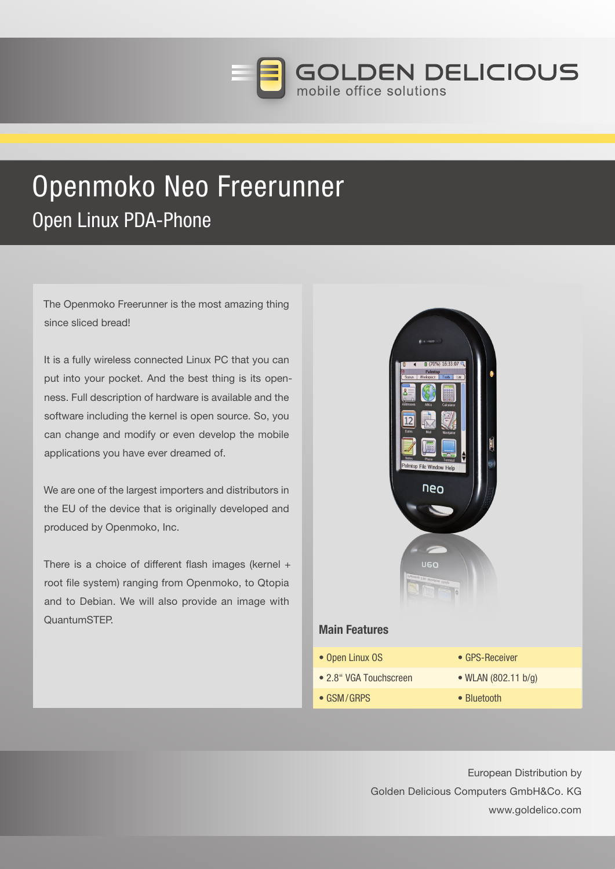

# Openmoko Neo Freerunner Open Linux PDA-Phone

 The Openmoko Freerunner is the most amazing thing since sliced bread!

It is a fully wireless connected Linux PC that you can put into your pocket. And the best thing is its openness. Full description of hardware is available and the software including the kernel is open source. So, you can change and modify or even develop the mobile applications you have ever dreamed of.

We are one of the largest importers and distributors in the EU of the device that is originally developed and produced by Openmoko, Inc.

 There is a choice of different flash images (kernel + root file system) ranging from Openmoko, to Qtopia and to Debian. We will also provide an image with QuantumSTEP.



European Distribution by Golden Delicious Computers GmbH&Co. KG www.goldelico.com